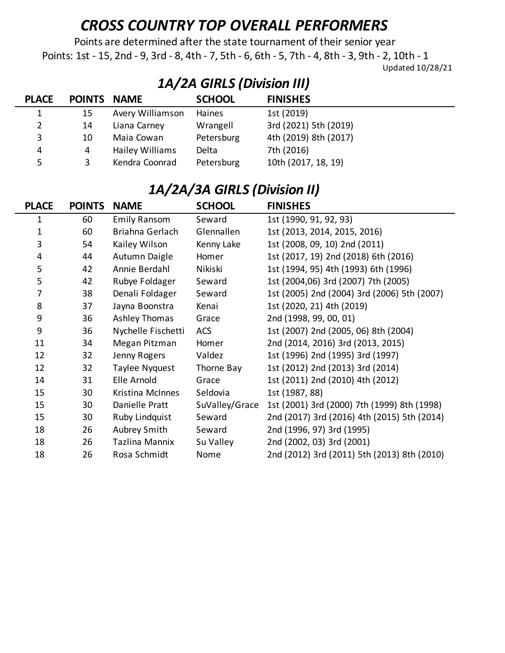### *CROSS COUNTRY TOP OVERALL PERFORMERS*

Updated 10/28/21 Points are determined after the state tournament of their senior year Points: 1st - 15, 2nd - 9, 3rd - 8, 4th - 7, 5th - 6, 6th - 5, 7th - 4, 8th - 3, 9th - 2, 10th - 1

| 1A/2A GIRLS (Division III) |                                                                  |                  |            |                       |  |  |
|----------------------------|------------------------------------------------------------------|------------------|------------|-----------------------|--|--|
| <b>PLACE</b>               | <b>FINISHES</b><br><b>POINTS</b><br><b>SCHOOL</b><br><b>NAME</b> |                  |            |                       |  |  |
|                            | 15                                                               | Avery Williamson | Haines     | 1st (2019)            |  |  |
| $\overline{2}$             | 14                                                               | Liana Carney     | Wrangell   | 3rd (2021) 5th (2019) |  |  |
| 3                          | 10                                                               | Maia Cowan       | Petersburg | 4th (2019) 8th (2017) |  |  |
| 4                          | 4                                                                | Hailey Williams  | Delta      | 7th (2016)            |  |  |
|                            | 3                                                                | Kendra Coonrad   | Petersburg | 10th (2017, 18, 19)   |  |  |

#### *1A/2A/3A GIRLS (Division II)*

| <b>PLACE</b> | <b>POINTS</b> | <b>NAME</b>          | <b>SCHOOL</b>  | <b>FINISHES</b>                             |
|--------------|---------------|----------------------|----------------|---------------------------------------------|
| 1            | 60            | <b>Emily Ransom</b>  | Seward         | 1st (1990, 91, 92, 93)                      |
| 1            | 60            | Briahna Gerlach      | Glennallen     | 1st (2013, 2014, 2015, 2016)                |
| 3            | 54            | Kailey Wilson        | Kenny Lake     | 1st (2008, 09, 10) 2nd (2011)               |
| 4            | 44            | Autumn Daigle        | Homer          | 1st (2017, 19) 2nd (2018) 6th (2016)        |
| 5            | 42            | Annie Berdahl        | Nikiski        | 1st (1994, 95) 4th (1993) 6th (1996)        |
| 5            | 42            | Rubye Foldager       | Seward         | 1st (2004,06) 3rd (2007) 7th (2005)         |
| 7            | 38            | Denali Foldager      | Seward         | 1st (2005) 2nd (2004) 3rd (2006) 5th (2007) |
| 8            | 37            | Jayna Boonstra       | Kenai          | 1st (2020, 21) 4th (2019)                   |
| 9            | 36            | <b>Ashley Thomas</b> | Grace          | 2nd (1998, 99, 00, 01)                      |
| 9            | 36            | Nychelle Fischetti   | <b>ACS</b>     | 1st (2007) 2nd (2005, 06) 8th (2004)        |
| 11           | 34            | Megan Pitzman        | Homer          | 2nd (2014, 2016) 3rd (2013, 2015)           |
| 12           | 32            | Jenny Rogers         | Valdez         | 1st (1996) 2nd (1995) 3rd (1997)            |
| 12           | 32            | Taylee Nyquest       | Thorne Bay     | 1st (2012) 2nd (2013) 3rd (2014)            |
| 14           | 31            | Elle Arnold          | Grace          | 1st (2011) 2nd (2010) 4th (2012)            |
| 15           | 30            | Kristina McInnes     | Seldovia       | 1st (1987, 88)                              |
| 15           | 30            | Danielle Pratt       | SuValley/Grace | 1st (2001) 3rd (2000) 7th (1999) 8th (1998) |
| 15           | 30            | Ruby Lindquist       | Seward         | 2nd (2017) 3rd (2016) 4th (2015) 5th (2014) |
| 18           | 26            | Aubrey Smith         | Seward         | 2nd (1996, 97) 3rd (1995)                   |
| 18           | 26            | Tazlina Mannix       | Su Valley      | 2nd (2002, 03) 3rd (2001)                   |
| 18           | 26            | Rosa Schmidt         | Nome           | 2nd (2012) 3rd (2011) 5th (2013) 8th (2010) |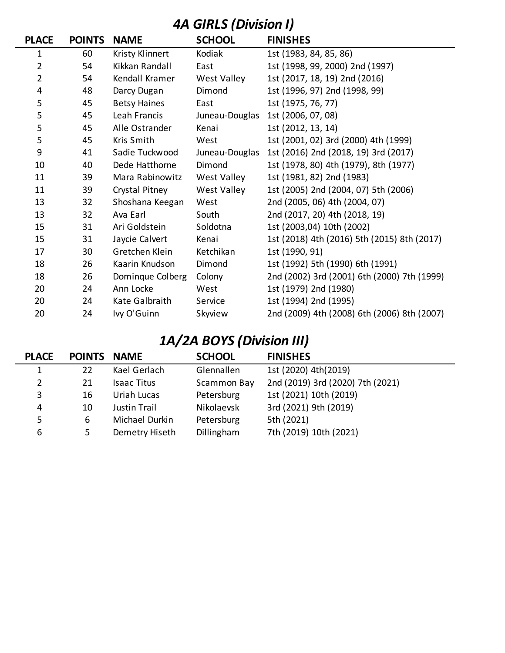## *4A GIRLS (Division I)*

| <b>PLACE</b> | <b>POINTS</b> | <b>NAME</b>         | <b>SCHOOL</b>  | <b>FINISHES</b>                             |
|--------------|---------------|---------------------|----------------|---------------------------------------------|
| 1            | 60            | Kristy Klinnert     | Kodiak         | 1st (1983, 84, 85, 86)                      |
| 2            | 54            | Kikkan Randall      | East           | 1st (1998, 99, 2000) 2nd (1997)             |
| 2            | 54            | Kendall Kramer      | West Valley    | 1st (2017, 18, 19) 2nd (2016)               |
| 4            | 48            | Darcy Dugan         | Dimond         | 1st (1996, 97) 2nd (1998, 99)               |
| 5            | 45            | <b>Betsy Haines</b> | East           | 1st (1975, 76, 77)                          |
| 5            | 45            | Leah Francis        | Juneau-Douglas | 1st (2006, 07, 08)                          |
| 5            | 45            | Alle Ostrander      | Kenai          | 1st (2012, 13, 14)                          |
| 5            | 45            | Kris Smith          | West           | 1st (2001, 02) 3rd (2000) 4th (1999)        |
| 9            | 41            | Sadie Tuckwood      | Juneau-Douglas | 1st (2016) 2nd (2018, 19) 3rd (2017)        |
| 10           | 40            | Dede Hatthorne      | Dimond         | 1st (1978, 80) 4th (1979), 8th (1977)       |
| 11           | 39            | Mara Rabinowitz     | West Valley    | 1st (1981, 82) 2nd (1983)                   |
| 11           | 39            | Crystal Pitney      | West Valley    | 1st (2005) 2nd (2004, 07) 5th (2006)        |
| 13           | 32            | Shoshana Keegan     | West           | 2nd (2005, 06) 4th (2004, 07)               |
| 13           | 32            | Ava Earl            | South          | 2nd (2017, 20) 4th (2018, 19)               |
| 15           | 31            | Ari Goldstein       | Soldotna       | 1st (2003,04) 10th (2002)                   |
| 15           | 31            | Jaycie Calvert      | Kenai          | 1st (2018) 4th (2016) 5th (2015) 8th (2017) |
| 17           | 30            | Gretchen Klein      | Ketchikan      | 1st (1990, 91)                              |
| 18           | 26            | Kaarin Knudson      | Dimond         | 1st (1992) 5th (1990) 6th (1991)            |
| 18           | 26            | Dominque Colberg    | Colony         | 2nd (2002) 3rd (2001) 6th (2000) 7th (1999) |
| 20           | 24            | Ann Locke           | West           | 1st (1979) 2nd (1980)                       |
| 20           | 24            | Kate Galbraith      | Service        | 1st (1994) 2nd (1995)                       |
| 20           | 24            | Ivy O'Guinn         | Skyview        | 2nd (2009) 4th (2008) 6th (2006) 8th (2007) |

# *1A/2A BOYS (Division III)*

| <b>PLACE</b>          | <b>POINTS</b> | <b>NAME</b>         | <b>SCHOOL</b>     | <b>FINISHES</b>                  |
|-----------------------|---------------|---------------------|-------------------|----------------------------------|
|                       | 22            | Kael Gerlach        | Glennallen        | 1st (2020) 4th(2019)             |
| $\mathbf{2}^{\prime}$ | 21            | <b>Isaac Titus</b>  | Scammon Bay       | 2nd (2019) 3rd (2020) 7th (2021) |
| 3                     | 16            | Uriah Lucas         | Petersburg        | 1st (2021) 10th (2019)           |
| 4                     | 10            | <b>Justin Trail</b> | Nikolaevsk        | 3rd (2021) 9th (2019)            |
| 5.                    | 6             | Michael Durkin      | Petersburg        | 5th (2021)                       |
| 6                     | 5.            | Demetry Hiseth      | <b>Dillingham</b> | 7th (2019) 10th (2021)           |